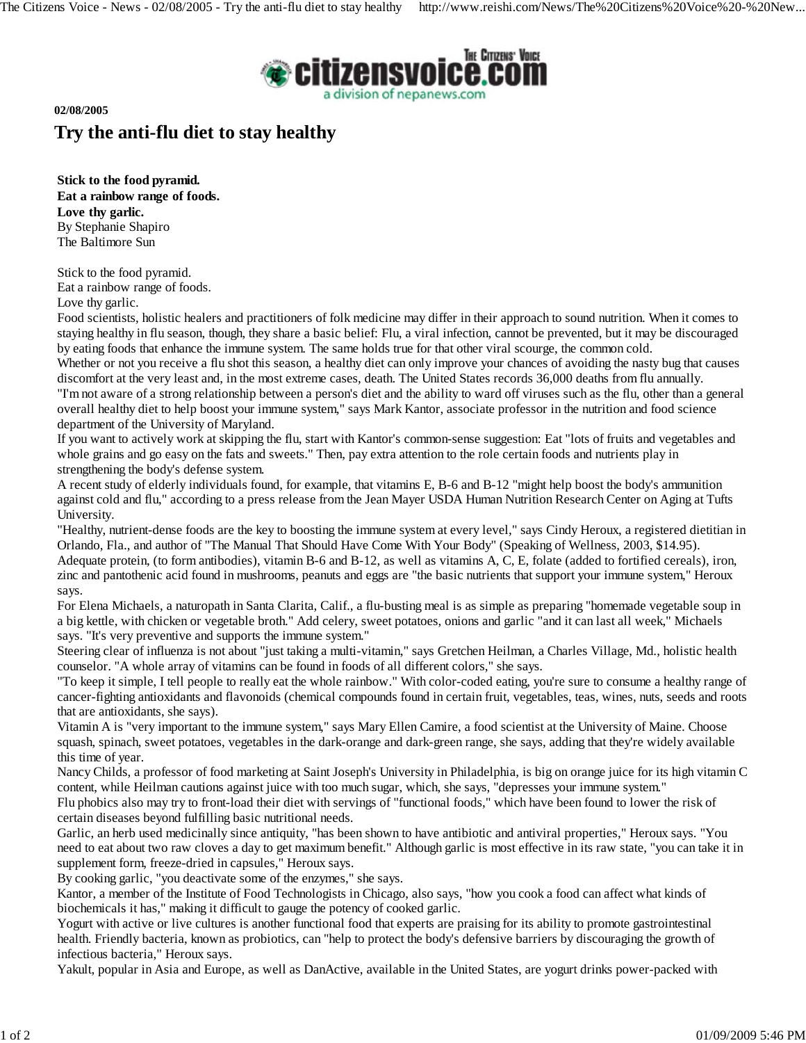

**02/08/2005**

## **Try the anti-flu diet to stay healthy**

**Stick to the food pyramid. Eat a rainbow range of foods. Love thy garlic.** By Stephanie Shapiro The Baltimore Sun

Stick to the food pyramid.

Eat a rainbow range of foods.

Love thy garlic.

Food scientists, holistic healers and practitioners of folk medicine may differ in their approach to sound nutrition. When it comes to staying healthy in flu season, though, they share a basic belief: Flu, a viral infection, cannot be prevented, but it may be discouraged by eating foods that enhance the immune system. The same holds true for that other viral scourge, the common cold.

Whether or not you receive a flu shot this season, a healthy diet can only improve your chances of avoiding the nasty bug that causes discomfort at the very least and, in the most extreme cases, death. The United States records 36,000 deaths from flu annually. "I'm not aware of a strong relationship between a person's diet and the ability to ward off viruses such as the flu, other than a general overall healthy diet to help boost your immune system," says Mark Kantor, associate professor in the nutrition and food science department of the University of Maryland.

If you want to actively work at skipping the flu, start with Kantor's common-sense suggestion: Eat "lots of fruits and vegetables and whole grains and go easy on the fats and sweets." Then, pay extra attention to the role certain foods and nutrients play in strengthening the body's defense system.

A recent study of elderly individuals found, for example, that vitamins E, B-6 and B-12 "might help boost the body's ammunition against cold and flu," according to a press release from the Jean Mayer USDA Human Nutrition Research Center on Aging at Tufts University.

"Healthy, nutrient-dense foods are the key to boosting the immune system at every level," says Cindy Heroux, a registered dietitian in Orlando, Fla., and author of "The Manual That Should Have Come With Your Body" (Speaking of Wellness, 2003, \$14.95). Adequate protein, (to form antibodies), vitamin B-6 and B-12, as well as vitamins A, C, E, folate (added to fortified cereals), iron, zinc and pantothenic acid found in mushrooms, peanuts and eggs are "the basic nutrients that support your immune system," Heroux says.

For Elena Michaels, a naturopath in Santa Clarita, Calif., a flu-busting meal is as simple as preparing "homemade vegetable soup in a big kettle, with chicken or vegetable broth." Add celery, sweet potatoes, onions and garlic "and it can last all week," Michaels says. "It's very preventive and supports the immune system."

Steering clear of influenza is not about "just taking a multi-vitamin," says Gretchen Heilman, a Charles Village, Md., holistic health counselor. "A whole array of vitamins can be found in foods of all different colors," she says.

"To keep it simple, I tell people to really eat the whole rainbow." With color-coded eating, you're sure to consume a healthy range of cancer-fighting antioxidants and flavonoids (chemical compounds found in certain fruit, vegetables, teas, wines, nuts, seeds and roots that are antioxidants, she says).

Vitamin A is "very important to the immune system," says Mary Ellen Camire, a food scientist at the University of Maine. Choose squash, spinach, sweet potatoes, vegetables in the dark-orange and dark-green range, she says, adding that they're widely available this time of year.

Nancy Childs, a professor of food marketing at Saint Joseph's University in Philadelphia, is big on orange juice for its high vitamin C content, while Heilman cautions against juice with too much sugar, which, she says, "depresses your immune system."

Flu phobics also may try to front-load their diet with servings of "functional foods," which have been found to lower the risk of certain diseases beyond fulfilling basic nutritional needs.

Garlic, an herb used medicinally since antiquity, "has been shown to have antibiotic and antiviral properties," Heroux says. "You need to eat about two raw cloves a day to get maximum benefit." Although garlic is most effective in its raw state, "you can take it in supplement form, freeze-dried in capsules," Heroux says.

By cooking garlic, "you deactivate some of the enzymes," she says.

Kantor, a member of the Institute of Food Technologists in Chicago, also says, "how you cook a food can affect what kinds of biochemicals it has," making it difficult to gauge the potency of cooked garlic.

Yogurt with active or live cultures is another functional food that experts are praising for its ability to promote gastrointestinal health. Friendly bacteria, known as probiotics, can "help to protect the body's defensive barriers by discouraging the growth of infectious bacteria," Heroux says.

Yakult, popular in Asia and Europe, as well as DanActive, available in the United States, are yogurt drinks power-packed with